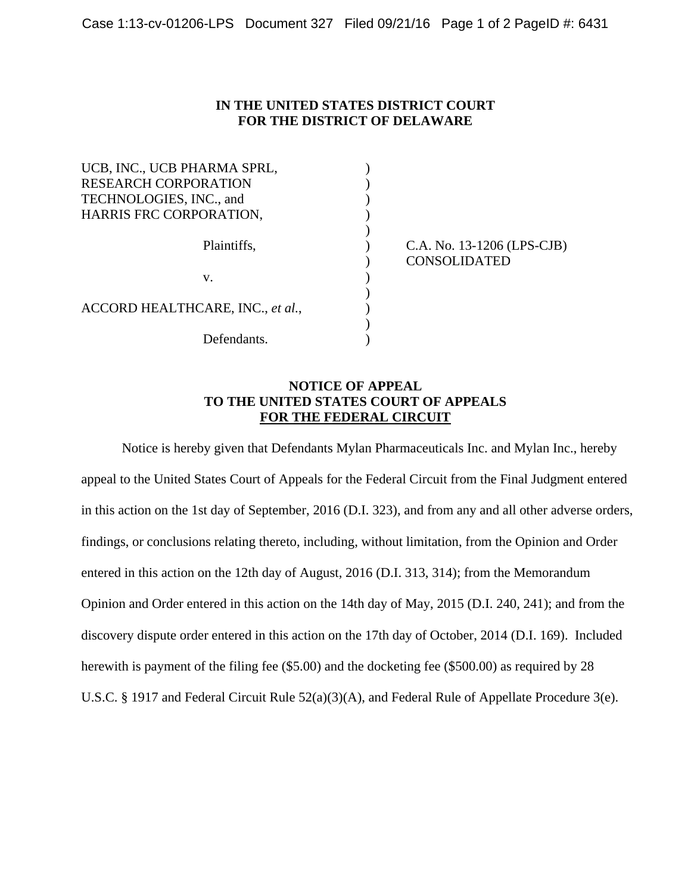## **IN THE UNITED STATES DISTRICT COURT FOR THE DISTRICT OF DELAWARE**

| UCB, INC., UCB PHARMA SPRL,      |                            |
|----------------------------------|----------------------------|
| <b>RESEARCH CORPORATION</b>      |                            |
| TECHNOLOGIES, INC., and          |                            |
| HARRIS FRC CORPORATION,          |                            |
|                                  |                            |
| Plaintiffs,                      | C.A. No. 13-1206 (LPS-CJB) |
|                                  | <b>CONSOLIDATED</b>        |
| v.                               |                            |
|                                  |                            |
| ACCORD HEALTHCARE, INC., et al., |                            |
|                                  |                            |
| Defendants.                      |                            |

## **NOTICE OF APPEAL TO THE UNITED STATES COURT OF APPEALS FOR THE FEDERAL CIRCUIT**

Notice is hereby given that Defendants Mylan Pharmaceuticals Inc. and Mylan Inc., hereby appeal to the United States Court of Appeals for the Federal Circuit from the Final Judgment entered in this action on the 1st day of September, 2016 (D.I. 323), and from any and all other adverse orders, findings, or conclusions relating thereto, including, without limitation, from the Opinion and Order entered in this action on the 12th day of August, 2016 (D.I. 313, 314); from the Memorandum Opinion and Order entered in this action on the 14th day of May, 2015 (D.I. 240, 241); and from the discovery dispute order entered in this action on the 17th day of October, 2014 (D.I. 169). Included herewith is payment of the filing fee (\$5.00) and the docketing fee (\$500.00) as required by 28 U.S.C. § 1917 and Federal Circuit Rule 52(a)(3)(A), and Federal Rule of Appellate Procedure 3(e).